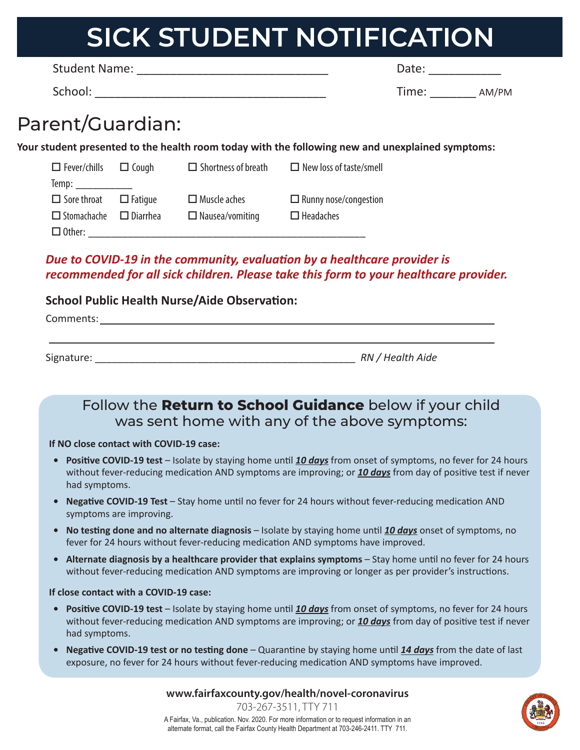# **SICK STUDENT NOTIFICATION**

| <b>Student Name:</b> | Date:          |
|----------------------|----------------|
| School:              | Time.<br>AM/PM |

### Parent/Guardian:

**Your student presented to the health room today with the following new and unexplained symptoms:**

| $\Box$ Fever/chills $\Box$ Cough   | $\Box$ Shortness of breath | $\Box$ New loss of taste/smell |
|------------------------------------|----------------------------|--------------------------------|
| Temp:                              |                            |                                |
| $\Box$ Sore throat $\Box$ Fatigue  | $\Box$ Muscle aches        | $\Box$ Runny nose/congestion   |
| $\Box$ Stomachache $\Box$ Diarrhea | $\Box$ Nausea/vomiting     | $\Box$ Headaches               |
| $\Box$ Other:                      |                            |                                |

#### *Due to COVID-19 in the community, evaluation by a healthcare provider is recommended for all sick children. Please take this form to your healthcare provider.*

#### **School Public Health Nurse/Aide Observation:**

| Comments:  |                  |
|------------|------------------|
|            |                  |
| Signature: | RN / Health Aide |

#### Follow the **Return to School Guidance** below if your child was sent home with any of the above symptoms:

#### **If NO close contact with COVID-19 case:**

- **• Positive COVID-19 test**  Isolate by staying home until *10 days* from onset of symptoms, no fever for 24 hours without fever-reducing medication AND symptoms are improving; or *10 days* from day of positive test if never had symptoms.
- **• Negative COVID-19 Test** Stay home until no fever for 24 hours without fever-reducing medication AND symptoms are improving.
- **• No testing done and no alternate diagnosis** Isolate by staying home until *10 days* onset of symptoms, no fever for 24 hours without fever-reducing medication AND symptoms have improved.
- **Alternate diagnosis by a healthcare provider that explains symptoms Stay home until no fever for 24 hours** without fever-reducing medication AND symptoms are improving or longer as per provider's instructions.

#### **If close contact with a COVID-19 case:**

- **• Positive COVID-19 test**  Isolate by staying home until *10 days* from onset of symptoms, no fever for 24 hours without fever-reducing medication AND symptoms are improving; or *10 days* from day of positive test if never had symptoms.
- **• Negative COVID-19 test or no testing done** Quarantine by staying home until *14 days* from the date of last exposure, no fever for 24 hours without fever-reducing medication AND symptoms have improved.

**www.fairfaxcounty.gov/health/novel-coronavirus**



703-267-3511, TTY 711 A Fairfax, Va., publication. Nov. 2020. For more information or to request information in an alternate format, call the Fairfax County Health Department at 703-246-2411. TTY 711.